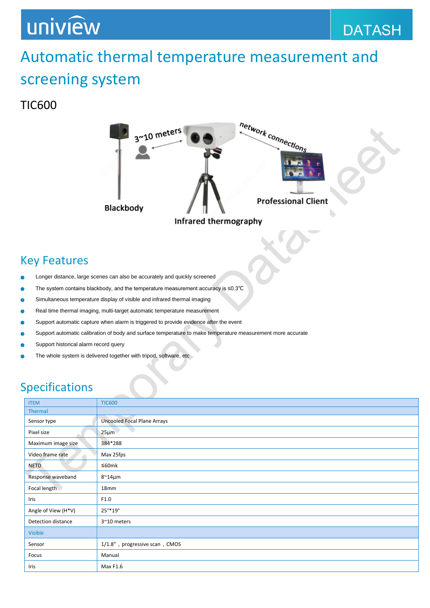## uniview

## Automatic thermal temperature measurement and screening system

#### TIC600



### Key Features

- Longer distance, large scenes can also be accurately and quickly screened
- The system contains blackbody, and the temperature measurement accuracy is ≤0.3℃
- Simultaneous temperature display of visible and infrared thermal imaging
- Real time thermal imaging, multi-target automatic temperature measurement
- Support automatic capture when alarm is triggered to provide evidence after the event
- Support automatic calibration of body and surface temperature to make temperature measurement more accurate
- Support historical alarm record query
- The whole system is delivered together with tripod, software, etc

### Specifications

| <b>ITEM</b>         | <b>TIC600</b>                      |
|---------------------|------------------------------------|
| Thermal             |                                    |
| Sensor type         | <b>Uncooled Focal Plane Arrays</b> |
| Pixel size          | $25 \mu m$                         |
| Maximum image size  | 384*288                            |
| Video frame rate    | Max 25fps                          |
| <b>NETD</b>         | ≤60m $k$                           |
| Response waveband   | $8^{\sim}14\mu m$                  |
| Focal length        | 18mm                               |
| Iris                | F1.0                               |
| Angle of View (H*V) | $25^{\circ}$ *19°                  |
| Detection distance  | 3~10 meters                        |
| Visible             |                                    |
| Sensor              | 1/1.8", progressive scan, CMOS     |
| Focus               | Manual                             |
| Iris                | Max F1.6                           |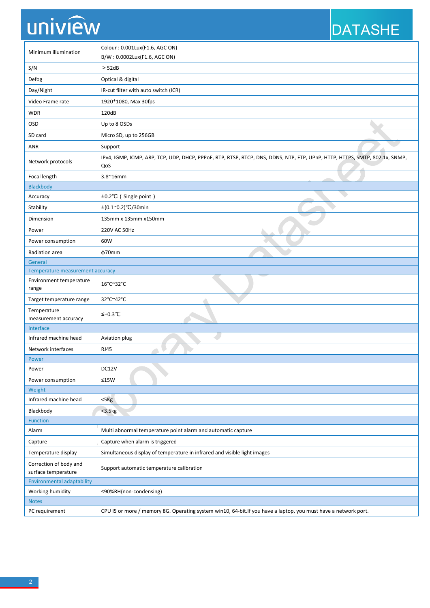# uniview

## DATASHE

| Minimum illumination                          | Colour: 0.001Lux(F1.6, AGC ON)<br>B/W: 0.0002Lux(F1.6, AGC ON)                                                                    |  |
|-----------------------------------------------|-----------------------------------------------------------------------------------------------------------------------------------|--|
| S/N                                           | > 52dB                                                                                                                            |  |
| Defog                                         | Optical & digital                                                                                                                 |  |
| Day/Night                                     | IR-cut filter with auto switch (ICR)                                                                                              |  |
| Video Frame rate                              | 1920*1080, Max 30fps                                                                                                              |  |
| <b>WDR</b>                                    | 120dB                                                                                                                             |  |
| OSD                                           | Up to 8 OSDs                                                                                                                      |  |
| SD card                                       | Micro SD, up to 256GB                                                                                                             |  |
| <b>ANR</b>                                    | Support                                                                                                                           |  |
| Network protocols                             | IPv4, IGMP, ICMP, ARP, TCP, UDP, DHCP, PPPoE, RTP, RTSP, RTCP, DNS, DDNS, NTP, FTP, UPnP, HTTP, HTTPS, SMTP, 802.1x, SNMP,<br>QoS |  |
| Focal length                                  | $3.8^{\sim}16$ mm                                                                                                                 |  |
| Blackbody                                     |                                                                                                                                   |  |
| Accuracy                                      | ±0.2°C (Single point)                                                                                                             |  |
| Stability                                     | $\pm (0.1^{\circ}0.2)^{\circ}C/30$ min                                                                                            |  |
| Dimension                                     | 135mm x 135mm x150mm                                                                                                              |  |
| Power                                         | 220V AC 50Hz                                                                                                                      |  |
| Power consumption                             | 60W                                                                                                                               |  |
| Radiation area                                | $\phi$ 70mm                                                                                                                       |  |
| General                                       |                                                                                                                                   |  |
| Temperature measurement accuracy              |                                                                                                                                   |  |
| <b>Environment temperature</b><br>range       | 16°C~32°C                                                                                                                         |  |
| Target temperature range                      | 32°C~42°C                                                                                                                         |  |
| Temperature<br>measurement accuracy           | $≤±0.3$ °C                                                                                                                        |  |
| Interface                                     |                                                                                                                                   |  |
| Infrared machine head                         | Aviation plug                                                                                                                     |  |
| Network interfaces                            | <b>RJ45</b>                                                                                                                       |  |
| Power                                         |                                                                                                                                   |  |
| Power                                         | DC12V                                                                                                                             |  |
| Power consumption                             | $≤15W$                                                                                                                            |  |
| Weight                                        |                                                                                                                                   |  |
| Infrared machine head                         | $<$ 5 $Kg$                                                                                                                        |  |
| Blackbody<br>Function                         | $<$ 3.5 $kg$                                                                                                                      |  |
| Alarm                                         | Multi abnormal temperature point alarm and automatic capture                                                                      |  |
| Capture                                       | Capture when alarm is triggered                                                                                                   |  |
|                                               |                                                                                                                                   |  |
| Temperature display                           | Simultaneous display of temperature in infrared and visible light images                                                          |  |
| Correction of body and<br>surface temperature | Support automatic temperature calibration                                                                                         |  |
| <b>Environmental adaptability</b>             |                                                                                                                                   |  |
| Working humidity                              | ≤90%RH(non-condensing)                                                                                                            |  |
| <b>Notes</b>                                  |                                                                                                                                   |  |
| PC requirement                                | CPU I5 or more / memory 8G. Operating system win10, 64-bit.If you have a laptop, you must have a network port.                    |  |